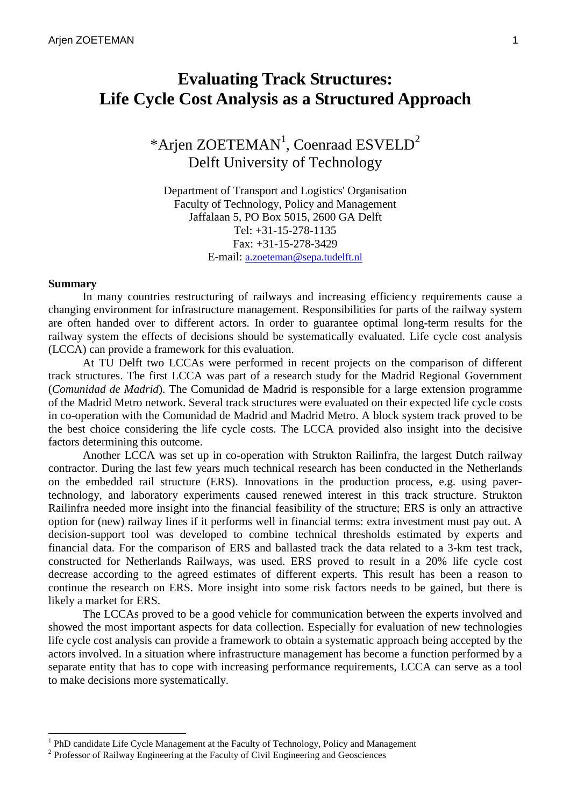# **Evaluating Track Structures: Life Cycle Cost Analysis as a Structured Approach**

## $*$ Arjen ZOETEMAN<sup>1</sup>, Coenraad ESVELD<sup>2</sup> Delft University of Technology

Department of Transport and Logistics' Organisation Faculty of Technology, Policy and Management Jaffalaan 5, PO Box 5015, 2600 GA Delft Tel: +31-15-278-1135 Fax: +31-15-278-3429 E-mail: [a.zoeteman@sepa.tudelft.nl](mailto:a.zoeteman@sepa.tudelft.nl)

#### **Summary**

In many countries restructuring of railways and increasing efficiency requirements cause a changing environment for infrastructure management. Responsibilities for parts of the railway system are often handed over to different actors. In order to guarantee optimal long-term results for the railway system the effects of decisions should be systematically evaluated. Life cycle cost analysis (LCCA) can provide a framework for this evaluation.

At TU Delft two LCCAs were performed in recent projects on the comparison of different track structures. The first LCCA was part of a research study for the Madrid Regional Government (*Comunidad de Madrid*). The Comunidad de Madrid is responsible for a large extension programme of the Madrid Metro network. Several track structures were evaluated on their expected life cycle costs in co-operation with the Comunidad de Madrid and Madrid Metro. A block system track proved to be the best choice considering the life cycle costs. The LCCA provided also insight into the decisive factors determining this outcome.

Another LCCA was set up in co-operation with Strukton Railinfra, the largest Dutch railway contractor. During the last few years much technical research has been conducted in the Netherlands on the embedded rail structure (ERS). Innovations in the production process, e.g. using pavertechnology, and laboratory experiments caused renewed interest in this track structure. Strukton Railinfra needed more insight into the financial feasibility of the structure; ERS is only an attractive option for (new) railway lines if it performs well in financial terms: extra investment must pay out. A decision-support tool was developed to combine technical thresholds estimated by experts and financial data. For the comparison of ERS and ballasted track the data related to a 3-km test track, constructed for Netherlands Railways, was used. ERS proved to result in a 20% life cycle cost decrease according to the agreed estimates of different experts. This result has been a reason to continue the research on ERS. More insight into some risk factors needs to be gained, but there is likely a market for ERS.

The LCCAs proved to be a good vehicle for communication between the experts involved and showed the most important aspects for data collection. Especially for evaluation of new technologies life cycle cost analysis can provide a framework to obtain a systematic approach being accepted by the actors involved. In a situation where infrastructure management has become a function performed by a separate entity that has to cope with increasing performance requirements, LCCA can serve as a tool to make decisions more systematically.

<sup>1</sup> PhD candidate Life Cycle Management at the Faculty of Technology, Policy and Management

<sup>&</sup>lt;sup>2</sup> Professor of Railway Engineering at the Faculty of Civil Engineering and Geosciences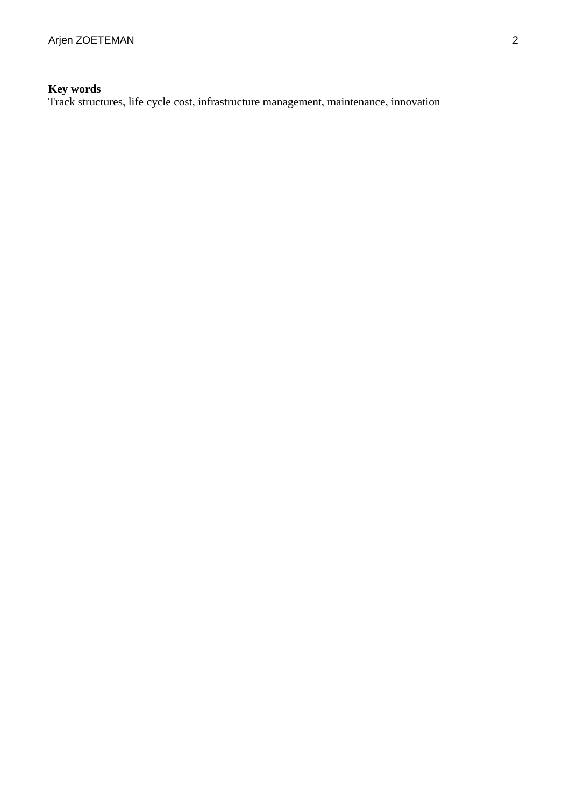#### **Key words**

Track structures, life cycle cost, infrastructure management, maintenance, innovation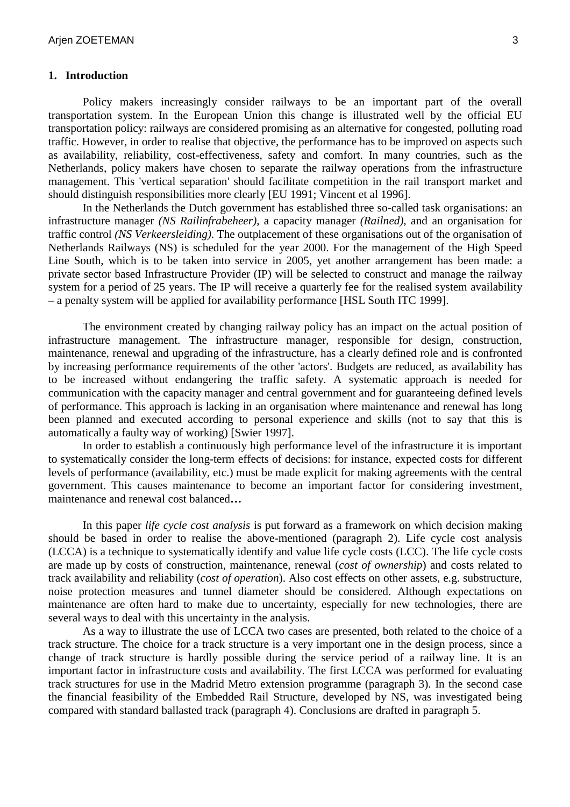#### **1. Introduction**

Policy makers increasingly consider railways to be an important part of the overall transportation system. In the European Union this change is illustrated well by the official EU transportation policy: railways are considered promising as an alternative for congested, polluting road traffic. However, in order to realise that objective, the performance has to be improved on aspects such as availability, reliability, cost-effectiveness, safety and comfort. In many countries, such as the Netherlands, policy makers have chosen to separate the railway operations from the infrastructure management. This 'vertical separation' should facilitate competition in the rail transport market and should distinguish responsibilities more clearly [EU 1991; Vincent et al 1996].

In the Netherlands the Dutch government has established three so-called task organisations: an infrastructure manager *(NS Railinfrabeheer)*, a capacity manager *(Railned)*, and an organisation for traffic control *(NS Verkeersleiding)*. The outplacement of these organisations out of the organisation of Netherlands Railways (NS) is scheduled for the year 2000. For the management of the High Speed Line South, which is to be taken into service in 2005, yet another arrangement has been made: a private sector based Infrastructure Provider (IP) will be selected to construct and manage the railway system for a period of 25 years. The IP will receive a quarterly fee for the realised system availability – a penalty system will be applied for availability performance [HSL South ITC 1999].

The environment created by changing railway policy has an impact on the actual position of infrastructure management. The infrastructure manager, responsible for design, construction, maintenance, renewal and upgrading of the infrastructure, has a clearly defined role and is confronted by increasing performance requirements of the other 'actors'. Budgets are reduced, as availability has to be increased without endangering the traffic safety. A systematic approach is needed for communication with the capacity manager and central government and for guaranteeing defined levels of performance. This approach is lacking in an organisation where maintenance and renewal has long been planned and executed according to personal experience and skills (not to say that this is automatically a faulty way of working) [Swier 1997].

In order to establish a continuously high performance level of the infrastructure it is important to systematically consider the long-term effects of decisions: for instance, expected costs for different levels of performance (availability, etc.) must be made explicit for making agreements with the central government. This causes maintenance to become an important factor for considering investment, maintenance and renewal cost balanced**…**

In this paper *life cycle cost analysis* is put forward as a framework on which decision making should be based in order to realise the above-mentioned (paragraph 2). Life cycle cost analysis (LCCA) is a technique to systematically identify and value life cycle costs (LCC). The life cycle costs are made up by costs of construction, maintenance, renewal (*cost of ownership*) and costs related to track availability and reliability (*cost of operation*). Also cost effects on other assets, e.g. substructure, noise protection measures and tunnel diameter should be considered. Although expectations on maintenance are often hard to make due to uncertainty, especially for new technologies, there are several ways to deal with this uncertainty in the analysis.

As a way to illustrate the use of LCCA two cases are presented, both related to the choice of a track structure. The choice for a track structure is a very important one in the design process, since a change of track structure is hardly possible during the service period of a railway line. It is an important factor in infrastructure costs and availability. The first LCCA was performed for evaluating track structures for use in the Madrid Metro extension programme (paragraph 3). In the second case the financial feasibility of the Embedded Rail Structure, developed by NS, was investigated being compared with standard ballasted track (paragraph 4). Conclusions are drafted in paragraph 5.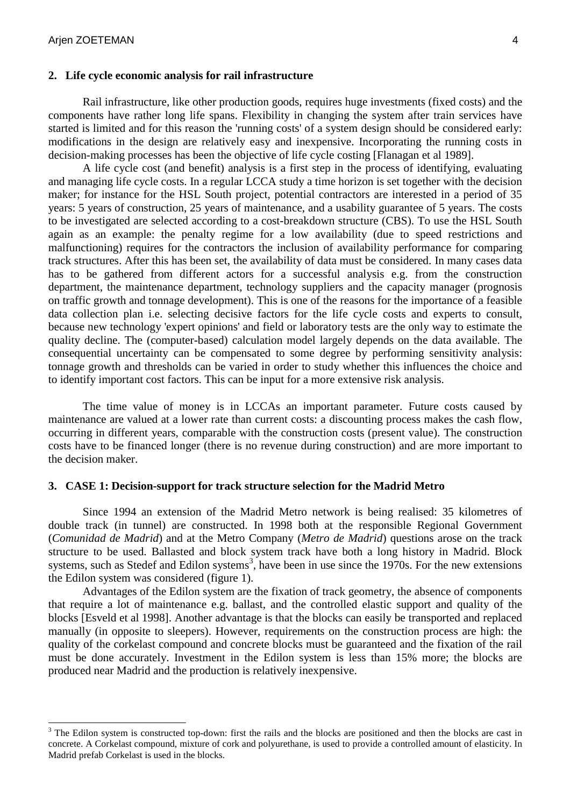#### **2. Life cycle economic analysis for rail infrastructure**

Rail infrastructure, like other production goods, requires huge investments (fixed costs) and the components have rather long life spans. Flexibility in changing the system after train services have started is limited and for this reason the 'running costs' of a system design should be considered early: modifications in the design are relatively easy and inexpensive. Incorporating the running costs in decision-making processes has been the objective of life cycle costing [Flanagan et al 1989].

A life cycle cost (and benefit) analysis is a first step in the process of identifying, evaluating and managing life cycle costs. In a regular LCCA study a time horizon is set together with the decision maker; for instance for the HSL South project, potential contractors are interested in a period of 35 years: 5 years of construction, 25 years of maintenance, and a usability guarantee of 5 years. The costs to be investigated are selected according to a cost-breakdown structure (CBS). To use the HSL South again as an example: the penalty regime for a low availability (due to speed restrictions and malfunctioning) requires for the contractors the inclusion of availability performance for comparing track structures. After this has been set, the availability of data must be considered. In many cases data has to be gathered from different actors for a successful analysis e.g. from the construction department, the maintenance department, technology suppliers and the capacity manager (prognosis on traffic growth and tonnage development). This is one of the reasons for the importance of a feasible data collection plan i.e. selecting decisive factors for the life cycle costs and experts to consult, because new technology 'expert opinions' and field or laboratory tests are the only way to estimate the quality decline. The (computer-based) calculation model largely depends on the data available. The consequential uncertainty can be compensated to some degree by performing sensitivity analysis: tonnage growth and thresholds can be varied in order to study whether this influences the choice and to identify important cost factors. This can be input for a more extensive risk analysis.

The time value of money is in LCCAs an important parameter. Future costs caused by maintenance are valued at a lower rate than current costs: a discounting process makes the cash flow, occurring in different years, comparable with the construction costs (present value). The construction costs have to be financed longer (there is no revenue during construction) and are more important to the decision maker.

#### **3. CASE 1: Decision-support for track structure selection for the Madrid Metro**

Since 1994 an extension of the Madrid Metro network is being realised: 35 kilometres of double track (in tunnel) are constructed. In 1998 both at the responsible Regional Government (*Comunidad de Madrid*) and at the Metro Company (*Metro de Madrid*) questions arose on the track structure to be used. Ballasted and block system track have both a long history in Madrid. Block systems, such as Stedef and Edilon systems<sup>3</sup>, have been in use since the 1970s. For the new extensions the Edilon system was considered (figure 1).

Advantages of the Edilon system are the fixation of track geometry, the absence of components that require a lot of maintenance e.g. ballast, and the controlled elastic support and quality of the blocks [Esveld et al 1998]. Another advantage is that the blocks can easily be transported and replaced manually (in opposite to sleepers). However, requirements on the construction process are high: the quality of the corkelast compound and concrete blocks must be guaranteed and the fixation of the rail must be done accurately. Investment in the Edilon system is less than 15% more; the blocks are produced near Madrid and the production is relatively inexpensive.

 $3$  The Edilon system is constructed top-down: first the rails and the blocks are positioned and then the blocks are cast in concrete. A Corkelast compound, mixture of cork and polyurethane, is used to provide a controlled amount of elasticity. In Madrid prefab Corkelast is used in the blocks.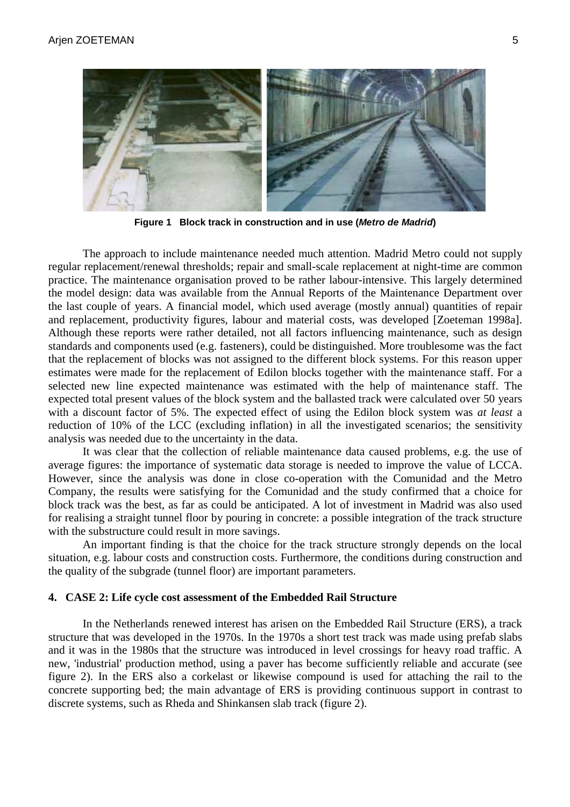

**Figure 1 Block track in construction and in use (***Metro de Madrid***)**

The approach to include maintenance needed much attention. Madrid Metro could not supply regular replacement/renewal thresholds; repair and small-scale replacement at night-time are common practice. The maintenance organisation proved to be rather labour-intensive. This largely determined the model design: data was available from the Annual Reports of the Maintenance Department over the last couple of years. A financial model, which used average (mostly annual) quantities of repair and replacement, productivity figures, labour and material costs, was developed [Zoeteman 1998a]. Although these reports were rather detailed, not all factors influencing maintenance, such as design standards and components used (e.g. fasteners), could be distinguished. More troublesome was the fact that the replacement of blocks was not assigned to the different block systems. For this reason upper estimates were made for the replacement of Edilon blocks together with the maintenance staff. For a selected new line expected maintenance was estimated with the help of maintenance staff. The expected total present values of the block system and the ballasted track were calculated over 50 years with a discount factor of 5%. The expected effect of using the Edilon block system was *at least* a reduction of 10% of the LCC (excluding inflation) in all the investigated scenarios; the sensitivity analysis was needed due to the uncertainty in the data.

It was clear that the collection of reliable maintenance data caused problems, e.g. the use of average figures: the importance of systematic data storage is needed to improve the value of LCCA. However, since the analysis was done in close co-operation with the Comunidad and the Metro Company, the results were satisfying for the Comunidad and the study confirmed that a choice for block track was the best, as far as could be anticipated. A lot of investment in Madrid was also used for realising a straight tunnel floor by pouring in concrete: a possible integration of the track structure with the substructure could result in more savings.

An important finding is that the choice for the track structure strongly depends on the local situation, e.g. labour costs and construction costs. Furthermore, the conditions during construction and the quality of the subgrade (tunnel floor) are important parameters.

#### **4. CASE 2: Life cycle cost assessment of the Embedded Rail Structure**

In the Netherlands renewed interest has arisen on the Embedded Rail Structure (ERS), a track structure that was developed in the 1970s. In the 1970s a short test track was made using prefab slabs and it was in the 1980s that the structure was introduced in level crossings for heavy road traffic. A new, 'industrial' production method, using a paver has become sufficiently reliable and accurate (see figure 2). In the ERS also a corkelast or likewise compound is used for attaching the rail to the concrete supporting bed; the main advantage of ERS is providing continuous support in contrast to discrete systems, such as Rheda and Shinkansen slab track (figure 2).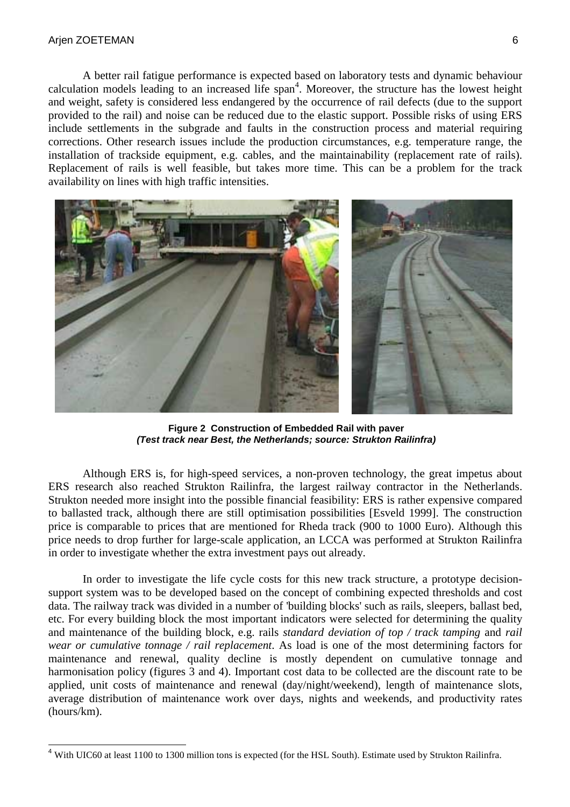#### Arjen ZOETEMAN 6

A better rail fatigue performance is expected based on laboratory tests and dynamic behaviour calculation models leading to an increased life span<sup>4</sup>. Moreover, the structure has the lowest height and weight, safety is considered less endangered by the occurrence of rail defects (due to the support provided to the rail) and noise can be reduced due to the elastic support. Possible risks of using ERS include settlements in the subgrade and faults in the construction process and material requiring corrections. Other research issues include the production circumstances, e.g. temperature range, the installation of trackside equipment, e.g. cables, and the maintainability (replacement rate of rails). Replacement of rails is well feasible, but takes more time. This can be a problem for the track availability on lines with high traffic intensities.



**Figure 2 Construction of Embedded Rail with paver** *(Test track near Best, the Netherlands; source: Strukton Railinfra)*

Although ERS is, for high-speed services, a non-proven technology, the great impetus about ERS research also reached Strukton Railinfra, the largest railway contractor in the Netherlands. Strukton needed more insight into the possible financial feasibility: ERS is rather expensive compared to ballasted track, although there are still optimisation possibilities [Esveld 1999]. The construction price is comparable to prices that are mentioned for Rheda track (900 to 1000 Euro). Although this price needs to drop further for large-scale application, an LCCA was performed at Strukton Railinfra in order to investigate whether the extra investment pays out already.

In order to investigate the life cycle costs for this new track structure, a prototype decisionsupport system was to be developed based on the concept of combining expected thresholds and cost data. The railway track was divided in a number of 'building blocks' such as rails, sleepers, ballast bed, etc. For every building block the most important indicators were selected for determining the quality and maintenance of the building block, e.g. rails *standard deviation of top / track tamping* and *rail wear or cumulative tonnage / rail replacement*. As load is one of the most determining factors for maintenance and renewal, quality decline is mostly dependent on cumulative tonnage and harmonisation policy (figures 3 and 4). Important cost data to be collected are the discount rate to be applied, unit costs of maintenance and renewal (day/night/weekend), length of maintenance slots, average distribution of maintenance work over days, nights and weekends, and productivity rates (hours/km).

 <sup>4</sup> With UIC60 at least 1100 to 1300 million tons is expected (for the HSL South). Estimate used by Strukton Railinfra.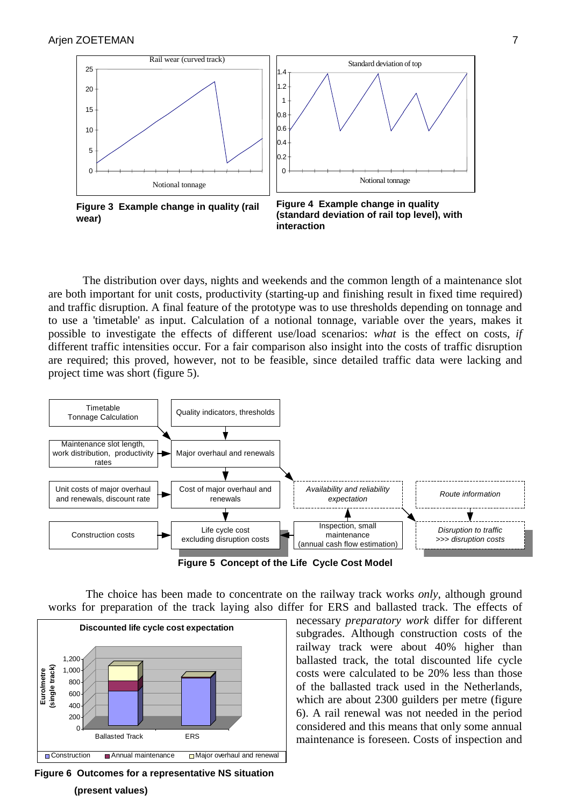

**Figure 3 Example change in quality (rail wear)**



The distribution over days, nights and weekends and the common length of a maintenance slot are both important for unit costs, productivity (starting-up and finishing result in fixed time required) and traffic disruption. A final feature of the prototype was to use thresholds depending on tonnage and to use a 'timetable' as input. Calculation of a notional tonnage, variable over the years, makes it possible to investigate the effects of different use/load scenarios: *what* is the effect on costs, *if* different traffic intensities occur. For a fair comparison also insight into the costs of traffic disruption are required; this proved, however, not to be feasible, since detailed traffic data were lacking and project time was short (figure 5).





The choice has been made to concentrate on the railway track works *only*, although ground works for preparation of the track laying also differ for ERS and ballasted track. The effects of



necessary *preparatory work* differ for different subgrades. Although construction costs of the railway track were about 40% higher than ballasted track, the total discounted life cycle costs were calculated to be 20% less than those of the ballasted track used in the Netherlands, which are about 2300 guilders per metre (figure 6). A rail renewal was not needed in the period considered and this means that only some annual maintenance is foreseen. Costs of inspection and

**Figure 6 Outcomes for a representative NS situation**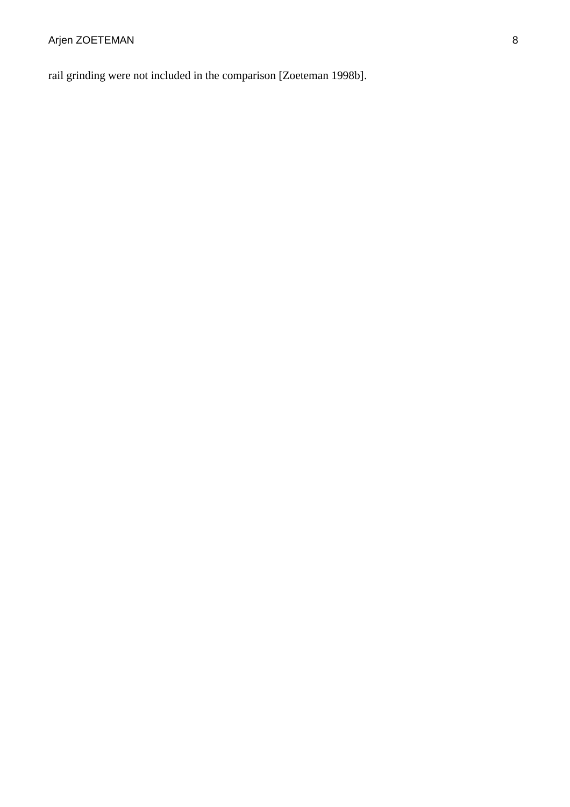rail grinding were not included in the comparison [Zoeteman 1998b].